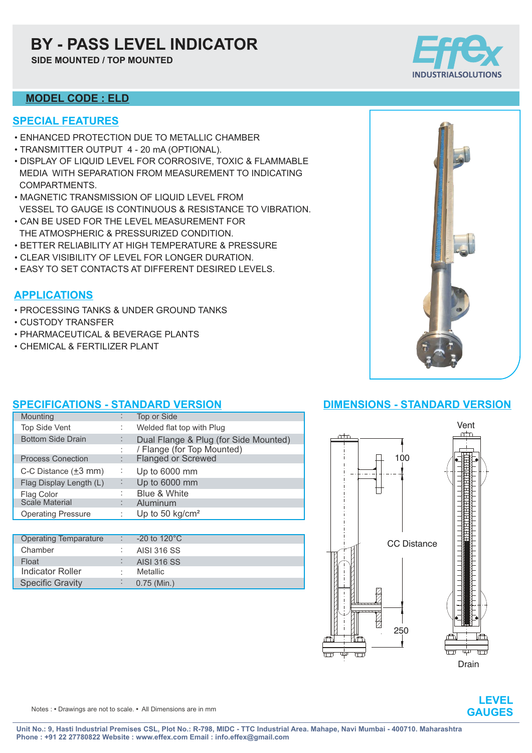## **BY - PASS LEVEL INDICATOR**

**SIDE MOUNTED / TOP MOUNTED**



#### **MODEL CODE : ELD**

#### **SPECIAL FEATURES**

- ENHANCED PROTECTION DUE TO METALLIC CHAMBER
- TRANSMITTER OUTPUT 4 20 mA (OPTIONAL).
- DISPLAY OF LIQUID LEVEL FOR CORROSIVE, TOXIC & FLAMMABLE MEDIA WITH SEPARATION FROM MEASUREMENT TO INDICATING COMPARTMENTS.
- MAGNETIC TRANSMISSION OF LIQUID LEVEL FROM VESSEL TO GAUGE IS CONTINUOUS & RESISTANCE TO VIBRATION.
- CAN BE USED FOR THE LEVEL MEASUREMENT FOR THE ATMOSPHERIC & PRESSURIZED CONDITION.
- BETTER RELIABILITY AT HIGH TEMPERATURE & PRESSURE
- CLEAR VISIBILITY OF LEVEL FOR LONGER DURATION.
- EASY TO SET CONTACTS AT DIFFERENT DESIRED LEVELS.

### **APPLICATIONS**

- PROCESSING TANKS & UNDER GROUND TANKS
- CUSTODY TRANSFER
- PHARMACEUTICAL & BEVERAGE PLANTS
- CHEMICAL & FERTILIZER PLANT



#### **SPECIFICATIONS - STANDARD VERSION**

| Mounting                          |   | Top or Side                           |
|-----------------------------------|---|---------------------------------------|
| Top Side Vent                     |   | Welded flat top with Plug             |
| <b>Bottom Side Drain</b>          |   | Dual Flange & Plug (for Side Mounted) |
|                                   |   | / Flange (for Top Mounted)            |
| <b>Process Conection</b>          |   | <b>Flanged or Screwed</b>             |
| C-C Distance $(\pm 3 \text{ mm})$ | ÷ | Up to 6000 mm                         |
| Flag Display Length (L)           | ÷ | Up to 6000 mm                         |
| Flag Color                        |   | Blue & White                          |
| <b>Scale Material</b>             |   | Aluminum                              |
| <b>Operating Pressure</b>         |   | Up to 50 $kg/cm2$                     |
|                                   |   |                                       |

| <b>Operating Temparature</b> | $-20$ to 120 $^{\circ}$ C |
|------------------------------|---------------------------|
| Chamber                      | AISI 316 SS               |
| Float                        | <b>AISI 316 SS</b>        |
| Indicator Roller             | Metallic.                 |
| <b>Specific Gravity</b>      | $0.75$ (Min.)             |

### **DIMENSIONS - STANDARD VERSION**





Notes : **•** Drawings are not to scale. **•** All Dimensions are in mm